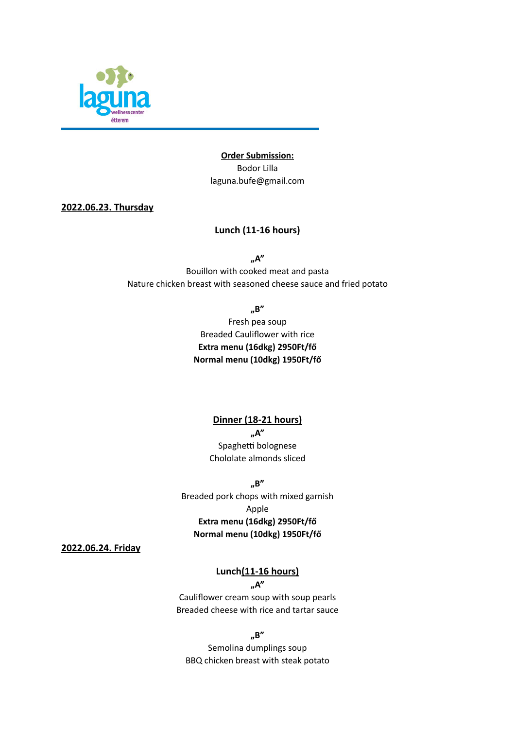

**Order Submission:**  Bodor Lilla laguna.bufe@gmail.com

**2022.06.23. Thursday**

## **Lunch (11-16 hours)**

**"A"**

Bouillon with cooked meat and pasta Nature chicken breast with seasoned cheese sauce and fried potato

**"B"**

Fresh pea soup Breaded Cauliflower with rice **Extra menu (16dkg) 2950Ft/fő Normal menu (10dkg) 1950Ft/fő**

> **Dinner (18-21 hours) "A"** Spaghetti bolognese Chololate almonds sliced

**"B"** Breaded pork chops with mixed garnish Apple **Extra menu (16dkg) 2950Ft/fő Normal menu (10dkg) 1950Ft/fő**

**2022.06.24. Friday**

# **Lunch(11-16 hours)**

### **"A"**

Cauliflower cream soup with soup pearls Breaded cheese with rice and tartar sauce

**"B"**

Semolina dumplings soup BBQ chicken breast with steak potato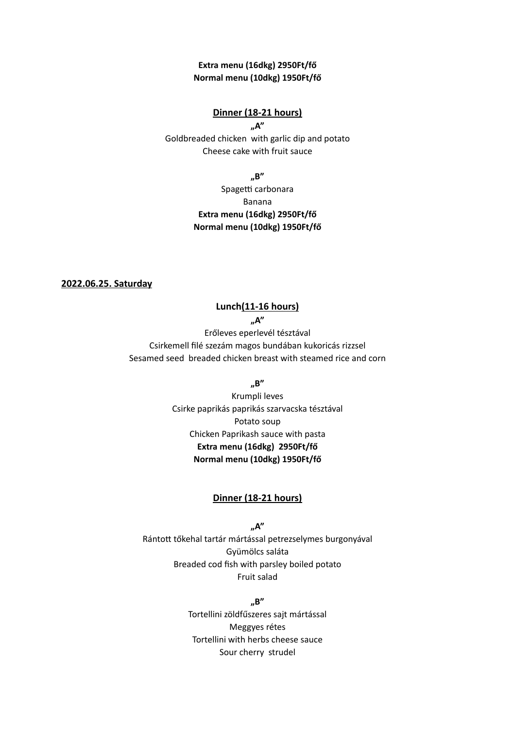## **Extra menu (16dkg) 2950Ft/fő Normal menu (10dkg) 1950Ft/fő**

### **Dinner (18-21 hours)**

**"A"** Goldbreaded chicken with garlic dip and potato Cheese cake with fruit sauce

**"B"**

Spagetti carbonara Banana **Extra menu (16dkg) 2950Ft/fő Normal menu (10dkg) 1950Ft/fő**

**2022.06.25. Saturday**

# **Lunch(11-16 hours)**

**"A"**

Erőleves eperlevél tésztával Csirkemell filé szezám magos bundában kukoricás rizzsel Sesamed seed breaded chicken breast with steamed rice and corn

**"B"**

Krumpli leves Csirke paprikás paprikás szarvacska tésztával Potato soup Chicken Paprikash sauce with pasta **Extra menu (16dkg) 2950Ft/fő Normal menu (10dkg) 1950Ft/fő**

### **Dinner (18-21 hours)**

**"A"** Rántott tőkehal tartár mártással petrezselymes burgonyával Gyümölcs saláta Breaded cod fish with parsley boiled potato Fruit salad

> **"B"** Tortellini zöldfűszeres sajt mártással Meggyes rétes Tortellini with herbs cheese sauce Sour cherry strudel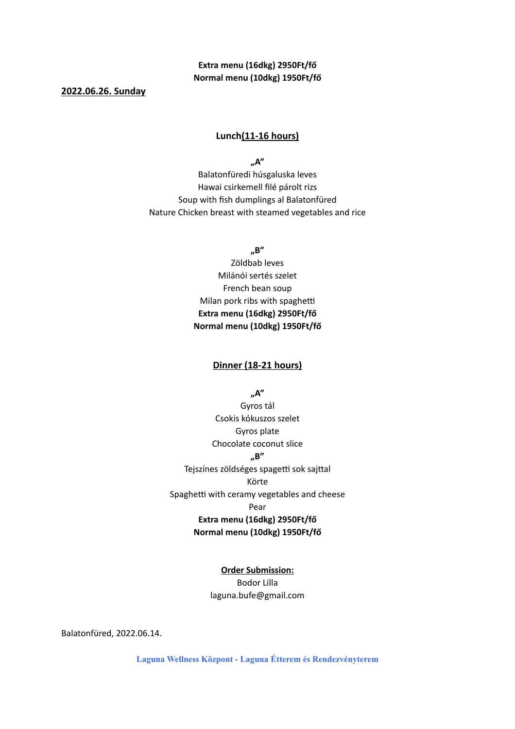# **Extra menu (16dkg) 2950Ft/fő Normal menu (10dkg) 1950Ft/fő**

**2022.06.26. Sunday**

### **Lunch(11-16 hours)**

**"A"**

Balatonfüredi húsgaluska leves Hawai csirkemell filé párolt rizs Soup with fish dumplings al Balatonfüred Nature Chicken breast with steamed vegetables and rice

**"B"**

Zöldbab leves Milánói sertés szelet French bean soup Milan pork ribs with spaghetti **Extra menu (16dkg) 2950Ft/fő Normal menu (10dkg) 1950Ft/fő**

# **Dinner (18-21 hours)**

**"A"**

Gyros tál Csokis kókuszos szelet Gyros plate Chocolate coconut slice **"B"** Tejszínes zöldséges spagetti sok sajttal Körte Spaghetti with ceramy vegetables and cheese Pear **Extra menu (16dkg) 2950Ft/fő Normal menu (10dkg) 1950Ft/fő**

#### **Order Submission:**

Bodor Lilla laguna.bufe@gmail.com

Balatonfüred, 2022.06.14.

**Laguna Wellness Központ - Laguna Étterem és Rendezvényterem**